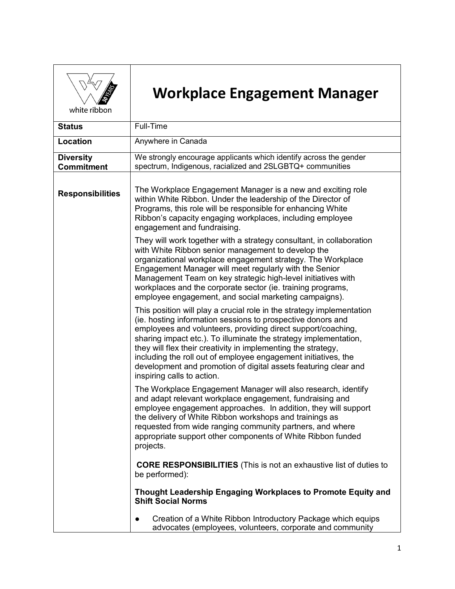

## **Workplace Engagement Manager**

white ribbon

| <b>Status</b>                         | Full-Time                                                                                                                                                                                                                                                                                                                                                                                                                                                                                                    |
|---------------------------------------|--------------------------------------------------------------------------------------------------------------------------------------------------------------------------------------------------------------------------------------------------------------------------------------------------------------------------------------------------------------------------------------------------------------------------------------------------------------------------------------------------------------|
| <b>Location</b>                       | Anywhere in Canada                                                                                                                                                                                                                                                                                                                                                                                                                                                                                           |
| <b>Diversity</b><br><b>Commitment</b> | We strongly encourage applicants which identify across the gender<br>spectrum, Indigenous, racialized and 2SLGBTQ+ communities                                                                                                                                                                                                                                                                                                                                                                               |
| <b>Responsibilities</b>               | The Workplace Engagement Manager is a new and exciting role<br>within White Ribbon. Under the leadership of the Director of<br>Programs, this role will be responsible for enhancing White<br>Ribbon's capacity engaging workplaces, including employee<br>engagement and fundraising.                                                                                                                                                                                                                       |
|                                       | They will work together with a strategy consultant, in collaboration<br>with White Ribbon senior management to develop the<br>organizational workplace engagement strategy. The Workplace<br>Engagement Manager will meet regularly with the Senior<br>Management Team on key strategic high-level initiatives with<br>workplaces and the corporate sector (ie. training programs,<br>employee engagement, and social marketing campaigns).                                                                  |
|                                       | This position will play a crucial role in the strategy implementation<br>(ie. hosting information sessions to prospective donors and<br>employees and volunteers, providing direct support/coaching,<br>sharing impact etc.). To illuminate the strategy implementation,<br>they will flex their creativity in implementing the strategy,<br>including the roll out of employee engagement initiatives, the<br>development and promotion of digital assets featuring clear and<br>inspiring calls to action. |
|                                       | The Workplace Engagement Manager will also research, identify<br>and adapt relevant workplace engagement, fundraising and<br>employee engagement approaches. In addition, they will support<br>the delivery of White Ribbon workshops and trainings as<br>requested from wide ranging community partners, and where<br>appropriate support other components of White Ribbon funded<br>projects.                                                                                                              |
|                                       | <b>CORE RESPONSIBILITIES</b> (This is not an exhaustive list of duties to<br>be performed):                                                                                                                                                                                                                                                                                                                                                                                                                  |
|                                       | Thought Leadership Engaging Workplaces to Promote Equity and<br><b>Shift Social Norms</b>                                                                                                                                                                                                                                                                                                                                                                                                                    |
|                                       | Creation of a White Ribbon Introductory Package which equips<br>$\bullet$<br>advocates (employees, volunteers, corporate and community                                                                                                                                                                                                                                                                                                                                                                       |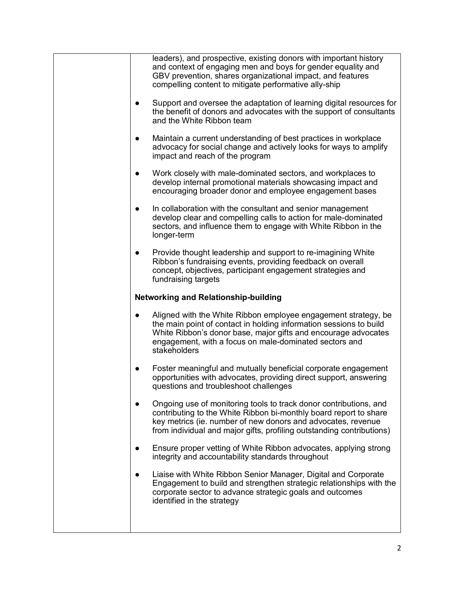| leaders), and prospective, existing donors with important history<br>and context of engaging men and boys for gender equality and<br>GBV prevention, shares organizational impact, and features<br>compelling content to mitigate performative ally-ship                         |
|----------------------------------------------------------------------------------------------------------------------------------------------------------------------------------------------------------------------------------------------------------------------------------|
| Support and oversee the adaptation of learning digital resources for<br>the benefit of donors and advocates with the support of consultants<br>and the White Ribbon team                                                                                                         |
| Maintain a current understanding of best practices in workplace<br>advocacy for social change and actively looks for ways to amplify<br>impact and reach of the program                                                                                                          |
| Work closely with male-dominated sectors, and workplaces to<br>develop internal promotional materials showcasing impact and<br>encouraging broader donor and employee engagement bases                                                                                           |
| In collaboration with the consultant and senior management<br>$\bullet$<br>develop clear and compelling calls to action for male-dominated<br>sectors, and influence them to engage with White Ribbon in the<br>longer-term                                                      |
| Provide thought leadership and support to re-imagining White<br>Ribbon's fundraising events, providing feedback on overall<br>concept, objectives, participant engagement strategies and<br>fundraising targets                                                                  |
| <b>Networking and Relationship-building</b>                                                                                                                                                                                                                                      |
| Aligned with the White Ribbon employee engagement strategy, be<br>the main point of contact in holding information sessions to build<br>White Ribbon's donor base, major gifts and encourage advocates<br>engagement, with a focus on male-dominated sectors and<br>stakeholders |
| Foster meaningful and mutually beneficial corporate engagement<br>opportunities with advocates, providing direct support, answering<br>questions and troubleshoot challenges                                                                                                     |
| Ongoing use of monitoring tools to track donor contributions, and<br>contributing to the White Ribbon bi-monthly board report to share<br>key metrics (ie. number of new donors and advocates, revenue<br>from individual and major gifts, profiling outstanding contributions)  |
| Ensure proper vetting of White Ribbon advocates, applying strong<br>integrity and accountability standards throughout                                                                                                                                                            |
| Liaise with White Ribbon Senior Manager, Digital and Corporate<br>Engagement to build and strengthen strategic relationships with the<br>corporate sector to advance strategic goals and outcomes<br>identified in the strategy                                                  |
|                                                                                                                                                                                                                                                                                  |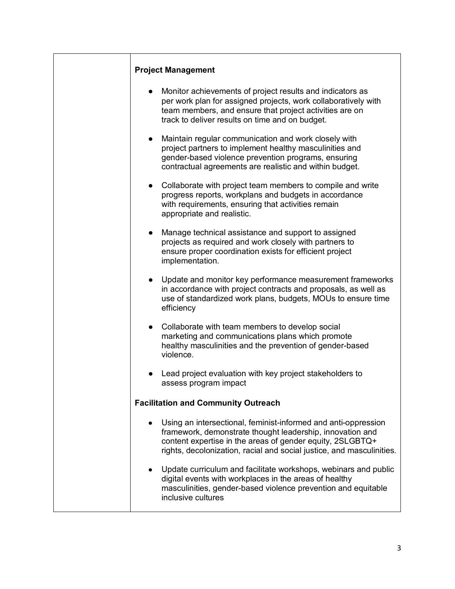| <b>Project Management</b>                                                                                                                                                                                                                                                      |
|--------------------------------------------------------------------------------------------------------------------------------------------------------------------------------------------------------------------------------------------------------------------------------|
| Monitor achievements of project results and indicators as<br>$\bullet$<br>per work plan for assigned projects, work collaboratively with<br>team members, and ensure that project activities are on<br>track to deliver results on time and on budget.                         |
| Maintain regular communication and work closely with<br>$\bullet$<br>project partners to implement healthy masculinities and<br>gender-based violence prevention programs, ensuring<br>contractual agreements are realistic and within budget.                                 |
| Collaborate with project team members to compile and write<br>$\bullet$<br>progress reports, workplans and budgets in accordance<br>with requirements, ensuring that activities remain<br>appropriate and realistic.                                                           |
| Manage technical assistance and support to assigned<br>$\bullet$<br>projects as required and work closely with partners to<br>ensure proper coordination exists for efficient project<br>implementation.                                                                       |
| Update and monitor key performance measurement frameworks<br>$\bullet$<br>in accordance with project contracts and proposals, as well as<br>use of standardized work plans, budgets, MOUs to ensure time<br>efficiency                                                         |
| Collaborate with team members to develop social<br>$\bullet$<br>marketing and communications plans which promote<br>healthy masculinities and the prevention of gender-based<br>violence.                                                                                      |
| Lead project evaluation with key project stakeholders to<br>assess program impact                                                                                                                                                                                              |
| <b>Facilitation and Community Outreach</b>                                                                                                                                                                                                                                     |
| Using an intersectional, feminist-informed and anti-oppression<br>$\bullet$<br>framework, demonstrate thought leadership, innovation and<br>content expertise in the areas of gender equity, 2SLGBTQ+<br>rights, decolonization, racial and social justice, and masculinities. |
| Update curriculum and facilitate workshops, webinars and public<br>$\bullet$<br>digital events with workplaces in the areas of healthy<br>masculinities, gender-based violence prevention and equitable<br>inclusive cultures                                                  |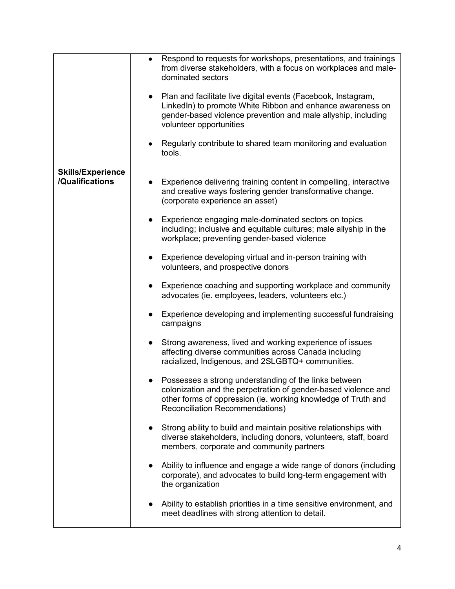|                                             | Respond to requests for workshops, presentations, and trainings<br>from diverse stakeholders, with a focus on workplaces and male-<br>dominated sectors<br>• Plan and facilitate live digital events (Facebook, Instagram,         |
|---------------------------------------------|------------------------------------------------------------------------------------------------------------------------------------------------------------------------------------------------------------------------------------|
|                                             | LinkedIn) to promote White Ribbon and enhance awareness on<br>gender-based violence prevention and male allyship, including<br>volunteer opportunities                                                                             |
|                                             | Regularly contribute to shared team monitoring and evaluation<br>tools.                                                                                                                                                            |
| <b>Skills/Experience</b><br>/Qualifications | Experience delivering training content in compelling, interactive<br>and creative ways fostering gender transformative change.<br>(corporate experience an asset)                                                                  |
|                                             | Experience engaging male-dominated sectors on topics<br>$\bullet$<br>including; inclusive and equitable cultures; male allyship in the<br>workplace; preventing gender-based violence                                              |
|                                             | Experience developing virtual and in-person training with<br>volunteers, and prospective donors                                                                                                                                    |
|                                             | Experience coaching and supporting workplace and community<br>$\bullet$<br>advocates (ie. employees, leaders, volunteers etc.)                                                                                                     |
|                                             | Experience developing and implementing successful fundraising<br>campaigns                                                                                                                                                         |
|                                             | Strong awareness, lived and working experience of issues<br>affecting diverse communities across Canada including<br>racialized, Indigenous, and 2SLGBTQ+ communities.                                                             |
|                                             | Possesses a strong understanding of the links between<br>colonization and the perpetration of gender-based violence and<br>other forms of oppression (ie. working knowledge of Truth and<br><b>Reconciliation Recommendations)</b> |
|                                             | Strong ability to build and maintain positive relationships with<br>diverse stakeholders, including donors, volunteers, staff, board<br>members, corporate and community partners                                                  |
|                                             | Ability to influence and engage a wide range of donors (including<br>corporate), and advocates to build long-term engagement with<br>the organization                                                                              |
|                                             | Ability to establish priorities in a time sensitive environment, and<br>meet deadlines with strong attention to detail.                                                                                                            |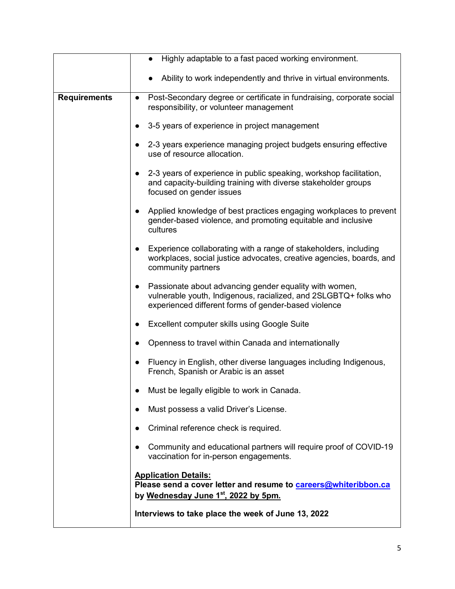|                     | Highly adaptable to a fast paced working environment.                                                                                                                                           |
|---------------------|-------------------------------------------------------------------------------------------------------------------------------------------------------------------------------------------------|
|                     | Ability to work independently and thrive in virtual environments.                                                                                                                               |
| <b>Requirements</b> | Post-Secondary degree or certificate in fundraising, corporate social<br>$\bullet$<br>responsibility, or volunteer management                                                                   |
|                     | 3-5 years of experience in project management                                                                                                                                                   |
|                     | 2-3 years experience managing project budgets ensuring effective<br>$\bullet$<br>use of resource allocation.                                                                                    |
|                     | 2-3 years of experience in public speaking, workshop facilitation,<br>and capacity-building training with diverse stakeholder groups<br>focused on gender issues                                |
|                     | Applied knowledge of best practices engaging workplaces to prevent<br>$\bullet$<br>gender-based violence, and promoting equitable and inclusive<br>cultures                                     |
|                     | Experience collaborating with a range of stakeholders, including<br>workplaces, social justice advocates, creative agencies, boards, and<br>community partners                                  |
|                     | Passionate about advancing gender equality with women,<br>$\bullet$<br>vulnerable youth, Indigenous, racialized, and 2SLGBTQ+ folks who<br>experienced different forms of gender-based violence |
|                     | Excellent computer skills using Google Suite<br>$\bullet$                                                                                                                                       |
|                     | Openness to travel within Canada and internationally                                                                                                                                            |
|                     | Fluency in English, other diverse languages including Indigenous,<br>$\bullet$<br>French, Spanish or Arabic is an asset                                                                         |
|                     | Must be legally eligible to work in Canada.                                                                                                                                                     |
|                     | Must possess a valid Driver's License.                                                                                                                                                          |
|                     | Criminal reference check is required.                                                                                                                                                           |
|                     | Community and educational partners will require proof of COVID-19<br>vaccination for in-person engagements.                                                                                     |
|                     | <b>Application Details:</b>                                                                                                                                                                     |
|                     | Please send a cover letter and resume to careers@whiteribbon.ca<br>by Wednesday June 1 <sup>st</sup> , 2022 by 5pm.                                                                             |
|                     | Interviews to take place the week of June 13, 2022                                                                                                                                              |